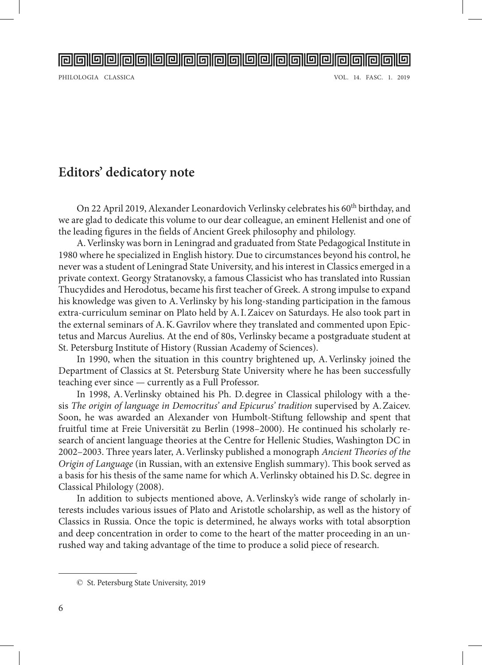## lalle

PHILOLOGIA CLASSICA VOL. 14. FASC. 1. 2019

## **Editors' dedicatory note**

On 22 April 2019, Alexander Leonardovich Verlinsky celebrates his 60<sup>th</sup> birthday, and we are glad to dedicate this volume to our dear colleague, an eminent Hellenist and one of the leading figures in the fields of Ancient Greek philosophy and philology.

A.Verlinsky was born in Leningrad and graduated from State Pedagogical Institute in 1980 where he specialized in English history. Due to circumstances beyond his control, he never was a student of Leningrad State University, and his interest in Classics emerged in a private context. Georgy Stratanovsky, a famous Classicist who has translated into Russian Thucydides and Herodotus, became his first teacher of Greek. A strong impulse to expand his knowledge was given to A.Verlinsky by his long-standing participation in the famous extra-curriculum seminar on Plato held by A.I.Zaicev on Saturdays. He also took part in the external seminars of A.K.Gavrilov where they translated and commented upon Epictetus and Marcus Aurelius. At the end of 80s, Verlinsky became a postgraduate student at St. Petersburg Institute of History (Russian Academy of Sciences).

In 1990, when the situation in this country brightened up, A.Verlinsky joined the Department of Classics at St. Petersburg State University where he has been successfully teaching ever since — currently as a Full Professor.

In 1998, A.Verlinsky obtained his Ph. D.degree in Classical philology with a thesis *The origin of language in Democritus' and Epicurus' tradition* supervised by A.Zaicev. Soon, he was awarded an Alexander von Humbolt-Stiftung fellowship and spent that fruitful time at Freie Universität zu Berlin (1998–2000). He continued his scholarly research of ancient language theories at the Centre for Hellenic Studies, Washington DC in 2002–2003. Three years later, A.Verlinsky published a monograph *Ancient Theories of the Origin of Language* (in Russian, with an extensive English summary). This book served as a basis for his thesis of the same name for which A.Verlinsky obtained his D. Sc. degree in Classical Philology (2008).

In addition to subjects mentioned above, A.Verlinsky's wide range of scholarly interests includes various issues of Plato and Aristotle scholarship, as well as the history of Classics in Russia. Once the topic is determined, he always works with total absorption and deep concentration in order to come to the heart of the matter proceeding in an unrushed way and taking advantage of the time to produce a solid piece of research.

<sup>©</sup> St. Petersburg State University, 2019